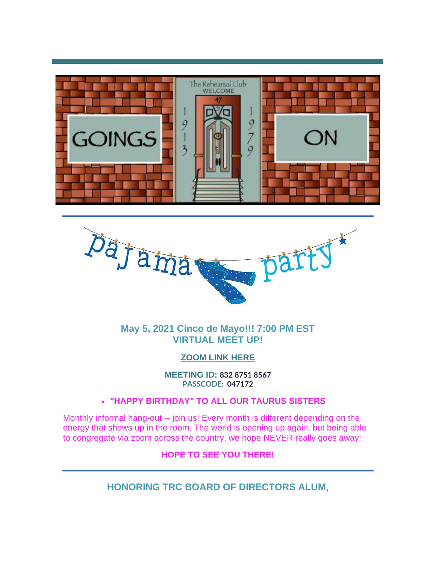



**May 5, 2021 Cinco de Mayo!!! 7:00 PM EST VIRTUAL MEET UP!**

#### **[ZOOM LINK HERE](http://r20.rs6.net/tn.jsp?f=001YZwFrnwWUWtezu6D6JdQnK7Vb_r0w0DjssW7sqdwPBQTDlM48S1qCIXamDxkX9_Cblr2MN1p2Wv6WDB2t2kgJ1nNfwKxS0EihaAzZTRdeLm5nCDKFWbPSDZNXSCzBAmeaJIYkDChbECBb8szuFTmwyJyTqMa62Vj9Og2cnjxfHizrPyNNZpT5N7JZd_JcdrqEmoeUy4D1TJrYvLgrD54V9Bmvuz0P0-M&c=OFZHI6teDPC_D2nPMtnQXVvamslKDW0vTPgeboto1nI7pTcZmFhM1g==&ch=u3ObpOP0X-QNrT_bTmTRHKsSOvCxJRe5YEiImqySANoYSmcEme9EFw==&jrc=1)**

**MEETING ID: 832 8751 8567 PASSCODE: 047172**

#### • **"HAPPY BIRTHDAY" TO ALL OUR TAURUS SISTERS**

Monthly informal hang-out -- join us! Every month is different depending on the energy that shows up in the room. The world is opening up again, but being able to congregate via zoom across the country, we hope NEVER really goes away!

#### **HOPE TO SEE YOU THERE!**

**HONORING TRC BOARD OF DIRECTORS ALUM,**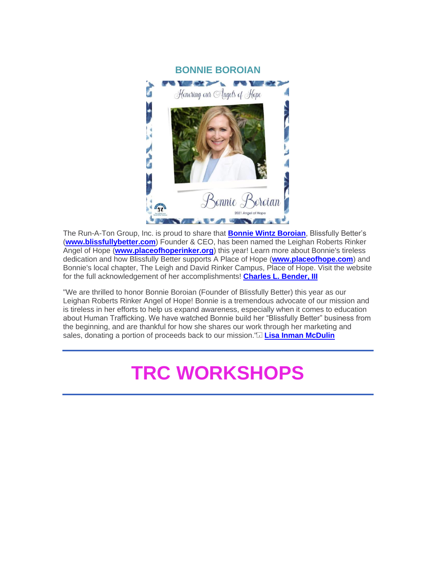

The Run-A-Ton Group, Inc. is proud to share that **[Bonnie Wintz Boroian](http://r20.rs6.net/tn.jsp?f=001YZwFrnwWUWtezu6D6JdQnK7Vb_r0w0DjssW7sqdwPBQTDlM48S1qCIXamDxkX9_CUWKwpJq-CTwLJjLnvsYZp-bJmsBz3fRcEMOtsHuW-r-Rgdfo5QRUxY7JqeChHSGKTyZnq-lsLu7KYZM_U8rkqs1gVHDVh-Kzih-oyp8CxMRbtFYh3qH5alR5x-bxDUzZjBlG70cHcQ8=&c=OFZHI6teDPC_D2nPMtnQXVvamslKDW0vTPgeboto1nI7pTcZmFhM1g==&ch=u3ObpOP0X-QNrT_bTmTRHKsSOvCxJRe5YEiImqySANoYSmcEme9EFw==&jrc=1)**, Blissfully Better's (**[www.blissfullybetter.com](http://r20.rs6.net/tn.jsp?f=001YZwFrnwWUWtezu6D6JdQnK7Vb_r0w0DjssW7sqdwPBQTDlM48S1qCIXamDxkX9_C7waFllJuzpHBXpZTnTviwjYUMrLU1VZsth_qPlizTjHN2SwMfIuaWam86ZN0Q04Kw5IM7NPKMl6llJfhgtsqRQXVmSGgmW1m&c=OFZHI6teDPC_D2nPMtnQXVvamslKDW0vTPgeboto1nI7pTcZmFhM1g==&ch=u3ObpOP0X-QNrT_bTmTRHKsSOvCxJRe5YEiImqySANoYSmcEme9EFw==&jrc=1)**) Founder & CEO, has been named the Leighan Roberts Rinker Angel of Hope (**[www.placeofhoperinker.org](http://r20.rs6.net/tn.jsp?f=001YZwFrnwWUWtezu6D6JdQnK7Vb_r0w0DjssW7sqdwPBQTDlM48S1qCIXamDxkX9_CJ4JppGEsDRb61VAGoCp9wueWZgEJXurFNE4BDixpdTYW9Yzb4dJw7jaMoHYUeDa0zh5CRUOR4h9RJ6eRY51G5GLrHkBZ0_J1&c=OFZHI6teDPC_D2nPMtnQXVvamslKDW0vTPgeboto1nI7pTcZmFhM1g==&ch=u3ObpOP0X-QNrT_bTmTRHKsSOvCxJRe5YEiImqySANoYSmcEme9EFw==&jrc=1)**) this year! Learn more about Bonnie's tireless dedication and how Blissfully Better supports A Place of Hope (**[www.placeofhope.com](http://r20.rs6.net/tn.jsp?f=001YZwFrnwWUWtezu6D6JdQnK7Vb_r0w0DjssW7sqdwPBQTDlM48S1qCIXamDxkX9_ChEZ4FbEp1dW4x194uX7003DuZceT1JQ7XmnFDJYw7F8eGke8Nt3RDHs9hgB7-Y2xonuC640WdobRM8Kd_WL-4Q==&c=OFZHI6teDPC_D2nPMtnQXVvamslKDW0vTPgeboto1nI7pTcZmFhM1g==&ch=u3ObpOP0X-QNrT_bTmTRHKsSOvCxJRe5YEiImqySANoYSmcEme9EFw==&jrc=1)**) and Bonnie's local chapter, The Leigh and David Rinker Campus, Place of Hope. Visit the website for the full acknowledgement of her accomplishments! **[Charles L. Bender, III](http://r20.rs6.net/tn.jsp?f=001YZwFrnwWUWtezu6D6JdQnK7Vb_r0w0DjssW7sqdwPBQTDlM48S1qCIXamDxkX9_C59xIixUVcHUspBSY0nN_Q4pC7T-aYAWzwGmjg_26zYYQY7ke2arZQwr1ON0rww33zxiZV6YLgd_Nksmfoi0-999sHPhzOTaW3nJP1JwWeqAMc1qguANnEZRWAh81hFbPOBDzPhKnIxk=&c=OFZHI6teDPC_D2nPMtnQXVvamslKDW0vTPgeboto1nI7pTcZmFhM1g==&ch=u3ObpOP0X-QNrT_bTmTRHKsSOvCxJRe5YEiImqySANoYSmcEme9EFw==&jrc=1)**

"We are thrilled to honor Bonnie Boroian (Founder of Blissfully Better) this year as our Leighan Roberts Rinker Angel of Hope! Bonnie is a tremendous advocate of our mission and is tireless in her efforts to help us expand awareness, especially when it comes to education about Human Trafficking. We have watched Bonnie build her "Blissfully Better" business from the beginning, and are thankful for how she shares our work through her marketing and sales, donating a portion of proceeds back to our mission." **[Lisa Inman McDulin](http://r20.rs6.net/tn.jsp?f=001YZwFrnwWUWtezu6D6JdQnK7Vb_r0w0DjssW7sqdwPBQTDlM48S1qCIXamDxkX9_CXQSsi3kEjcdOSkipXchrdSy8eKSyINMifOHnnLbisJGmUoepIWLRy5R54uybwXxKm49eBw9I_-9EMaMLKOQDeob0DHo5vbJEJAivUr5L28MhUDuN41cRSH3646u1as_ygVy3oTWbtZ4=&c=OFZHI6teDPC_D2nPMtnQXVvamslKDW0vTPgeboto1nI7pTcZmFhM1g==&ch=u3ObpOP0X-QNrT_bTmTRHKsSOvCxJRe5YEiImqySANoYSmcEme9EFw==&jrc=1)**

# **TRC WORKSHOPS**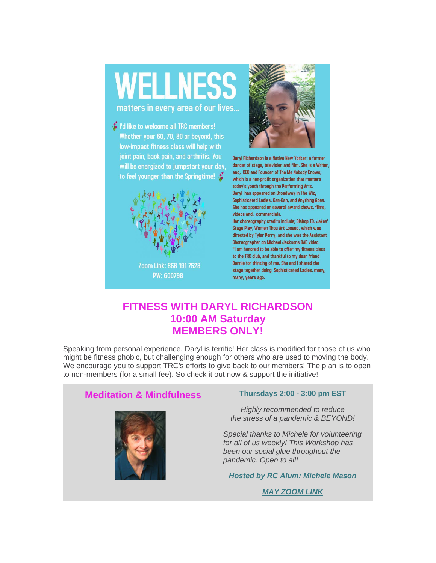# **WELLNESS**

matters in every area of our lives...

t I'd like to welcome all TRC members! Whether your 60, 70, 80 or beyond, this low-impact fitness class will help with joint pain, back pain, and arthritis. You will be energized to jumpstart your day, to feel younger than the Springtime!  $\mathcal{C}$ 





Daryl Richardson is a Native New Yorker; a former dancer of stage, television and film. She is a Writer, and, CEO and Founder of The Me Nobody Knows; which is a non-profit organization that mentors today's youth through the Performing Arts. Daryl has appeared on Broadway in The Wiz, Sophisticated Ladies, Can-Can, and Anything Goes. She has appeared on several award shows, films, videos and, commercials.

Her choreography credits include; Bishop TD. Jakes' Stage Play; Women Thou Art Loosed, which was directed by Tyler Perry, and she was the Assistant Choreographer on Michael Jacksons BAD video. "I am honored to be able to offer my fitness class to the TRC club, and thankful to my dear friend Bonnie for thinking of me. She and I shared the stage together doing Sophisticated Ladies. many, many, years ago.

#### **FITNESS WITH DARYL RICHARDSON 10:00 AM Saturday MEMBERS ONLY!**

Speaking from personal experience, Daryl is terrific! Her class is modified for those of us who might be fitness phobic, but challenging enough for others who are used to moving the body. We encourage you to support TRC's efforts to give back to our members! The plan is to open to non-members (for a small fee). So check it out now & support the initiative!

#### **Meditation & Mindfulness Thursdays 2:00 - 3:00 pm EST**



*Highly recommended to reduce the stress of a pandemic & BEYOND!* 

*Special thanks to Michele for volunteering for all of us weekly! This Workshop has been our social glue throughout the pandemic. Open to all!*

*Hosted by RC Alum: Michele Mason*

*[MAY ZOOM LINK](http://r20.rs6.net/tn.jsp?f=001YZwFrnwWUWtezu6D6JdQnK7Vb_r0w0DjssW7sqdwPBQTDlM48S1qCIXamDxkX9_CTPtEMNKf5qlN4u8ONiPpaQq8SdzAp7R6K_lBlJ55MEBYikBRNfe-rBYiRx3mbV6G_3o5H9c6KKxvR9rH0T5V-Z4uF5DpwsiTBGilzRixq1hF3ypHASGQq6dtyPW0xTbAoKrrtwI7uIx66jjUm6y3O2OwgSSItF29&c=OFZHI6teDPC_D2nPMtnQXVvamslKDW0vTPgeboto1nI7pTcZmFhM1g==&ch=u3ObpOP0X-QNrT_bTmTRHKsSOvCxJRe5YEiImqySANoYSmcEme9EFw==&jrc=1)*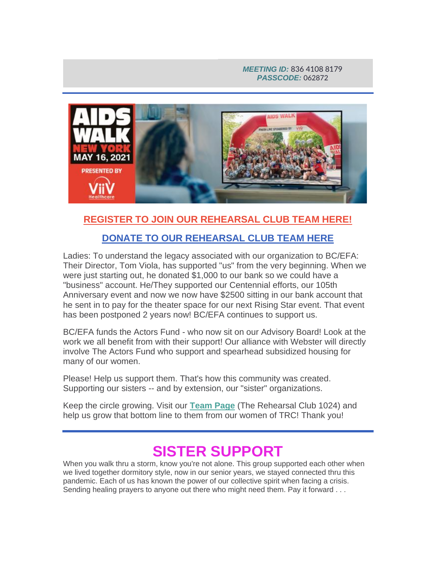#### *MEETING ID:* 836 4108 8179 *PASSCODE:* 062872



#### **[REGISTER TO JOIN OUR REHEARSAL CLUB TEAM HERE!](http://r20.rs6.net/tn.jsp?f=001YZwFrnwWUWtezu6D6JdQnK7Vb_r0w0DjssW7sqdwPBQTDlM48S1qCJOAabs7RdxvADGUfrwgryKkIdTwoc8_RR3yECytJo93WuOpMChj9Rds2fQm-bBPF8hx_IlPJAabpTlBvoccKdENTbQEqiJD10VVbqWGwGjJX0EnWQ8BbGA=&c=OFZHI6teDPC_D2nPMtnQXVvamslKDW0vTPgeboto1nI7pTcZmFhM1g==&ch=u3ObpOP0X-QNrT_bTmTRHKsSOvCxJRe5YEiImqySANoYSmcEme9EFw==&jrc=1)**

#### **[DONATE TO OUR REHEARSAL CLUB TEAM HERE](http://r20.rs6.net/tn.jsp?f=001YZwFrnwWUWtezu6D6JdQnK7Vb_r0w0DjssW7sqdwPBQTDlM48S1qCB_52oXY1xoi3Zmxv0RWNiVasKPmQ2xnAhlwpKL81f3_USOCiT4oRT26pLgHiA7TJyg9HMgRDM6mfRPdN3YAZfk8WWYPf_ttkQ==&c=OFZHI6teDPC_D2nPMtnQXVvamslKDW0vTPgeboto1nI7pTcZmFhM1g==&ch=u3ObpOP0X-QNrT_bTmTRHKsSOvCxJRe5YEiImqySANoYSmcEme9EFw==&jrc=1)**

Ladies: To understand the legacy associated with our organization to BC/EFA: Their Director, Tom Viola, has supported "us" from the very beginning. When we were just starting out, he donated \$1,000 to our bank so we could have a "business" account. He/They supported our Centennial efforts, our 105th Anniversary event and now we now have \$2500 sitting in our bank account that he sent in to pay for the theater space for our next Rising Star event. That event has been postponed 2 years now! BC/EFA continues to support us.

BC/EFA funds the Actors Fund - who now sit on our Advisory Board! Look at the work we all benefit from with their support! Our alliance with Webster will directly involve The Actors Fund who support and spearhead subsidized housing for many of our women.

Please! Help us support them. That's how this community was created. Supporting our sisters -- and by extension, our "sister" organizations.

Keep the circle growing. Visit our **[Team Page](http://r20.rs6.net/tn.jsp?f=001YZwFrnwWUWtezu6D6JdQnK7Vb_r0w0DjssW7sqdwPBQTDlM48S1qCNyQmsuun9xYR3el2jrVVjj11kNMQpahEhPcnH9kbUYrjUR_SYlfw2dZfD-2JCbtaqAHxbdD-ns8rhbmJHVzDeb0EsS52nCImccCgaIc4xFc&c=OFZHI6teDPC_D2nPMtnQXVvamslKDW0vTPgeboto1nI7pTcZmFhM1g==&ch=u3ObpOP0X-QNrT_bTmTRHKsSOvCxJRe5YEiImqySANoYSmcEme9EFw==&jrc=1)** (The Rehearsal Club 1024) and help us grow that bottom line to them from our women of TRC! Thank you!

## **SISTER SUPPORT**

When you walk thru a storm, know you're not alone. This group supported each other when we lived together dormitory style, now in our senior years, we stayed connected thru this pandemic. Each of us has known the power of our collective spirit when facing a crisis. Sending healing prayers to anyone out there who might need them. Pay it forward . . .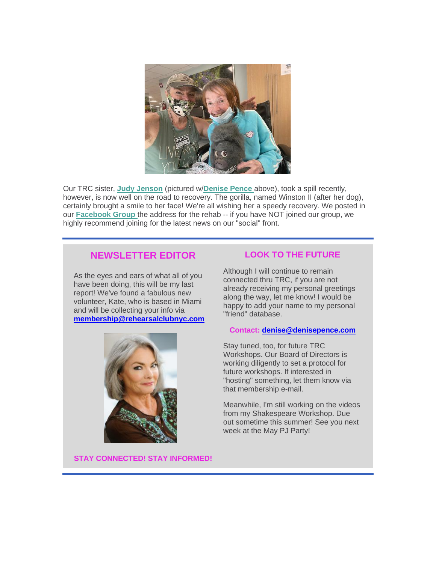

Our TRC sister, **[Judy Jenson](http://r20.rs6.net/tn.jsp?f=001YZwFrnwWUWtezu6D6JdQnK7Vb_r0w0DjssW7sqdwPBQTDlM48S1qCIXamDxkX9_CPOg_2LK6zmV45cafc1nUP21JPkbTcIeqWm_oqOev24shGgRgsBOMv8wHlm65mw_jZKGpgIWUYUTShxsAKBrltiTgqYxpGAo2wCHWKIhuk6Y=&c=OFZHI6teDPC_D2nPMtnQXVvamslKDW0vTPgeboto1nI7pTcZmFhM1g==&ch=u3ObpOP0X-QNrT_bTmTRHKsSOvCxJRe5YEiImqySANoYSmcEme9EFw==&jrc=1)** (pictured w/**[Denise Pence](http://r20.rs6.net/tn.jsp?f=001YZwFrnwWUWtezu6D6JdQnK7Vb_r0w0DjssW7sqdwPBQTDlM48S1qCCls7QY9mgJjD2FVO06PiKzHlrc03LHVsUUBTUMj1zmlRqNUgfQosRgmMmfIX2qTts4HXl6yjUM74NRRYfHJia1j38lLv1UZkyTrcbtPiPrTR-ZV_wj1Y5o=&c=OFZHI6teDPC_D2nPMtnQXVvamslKDW0vTPgeboto1nI7pTcZmFhM1g==&ch=u3ObpOP0X-QNrT_bTmTRHKsSOvCxJRe5YEiImqySANoYSmcEme9EFw==&jrc=1)** above), took a spill recently, however, is now well on the road to recovery. The gorilla, named Winston II (after her dog), certainly brought a smile to her face! We're all wishing her a speedy recovery. We posted in our **[Facebook Group](http://r20.rs6.net/tn.jsp?f=001YZwFrnwWUWtezu6D6JdQnK7Vb_r0w0DjssW7sqdwPBQTDlM48S1qCHBS3-vYmxnvck-Ow-blleFE8Urxx_2l1xJDMtUxQasBv5d4hULlwEuvEh81b0BiKnH1R0B7aVNxZmuaer59sgdBVj6jgljhf98_b_Di0ini5Y8IP8cGxql-DmF5fvkj4Q==&c=OFZHI6teDPC_D2nPMtnQXVvamslKDW0vTPgeboto1nI7pTcZmFhM1g==&ch=u3ObpOP0X-QNrT_bTmTRHKsSOvCxJRe5YEiImqySANoYSmcEme9EFw==&jrc=1)** the address for the rehab -- if you have NOT joined our group, we highly recommend joining for the latest news on our "social" front.

#### **NEWSLETTER EDITOR**

As the eyes and ears of what all of you have been doing, this will be my last report! We've found a fabulous new volunteer, Kate, who is based in Miami and will be collecting your info via **[membership@rehearsalclubnyc.com](mailto:membership@rehearsalclubnyc.com)**



#### **LOOK TO THE FUTURE**

Although I will continue to remain connected thru TRC, if you are not already receiving my personal greetings along the way, let me know! I would be happy to add your name to my personal "friend" database.

#### **Contact: [denise@denisepence.com](mailto:denise@denisepence.com)**

Stay tuned, too, for future TRC Workshops. Our Board of Directors is working diligently to set a protocol for future workshops. If interested in "hosting" something, let them know via that membership e-mail.

Meanwhile, I'm still working on the videos from my Shakespeare Workshop. Due out sometime this summer! See you next week at the May PJ Party!

**STAY CONNECTED! STAY INFORMED!**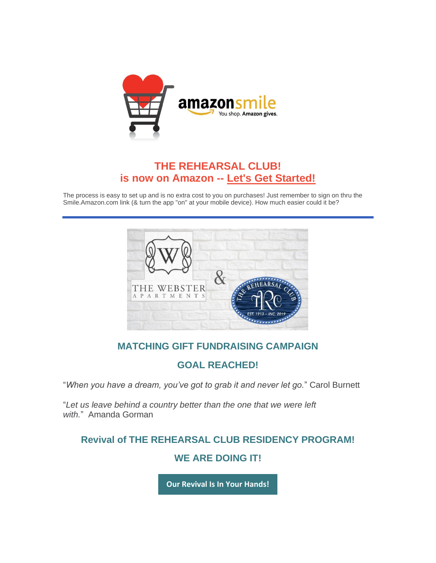

### **THE REHEARSAL CLUB! is now on Amazon -- [Let's Get Started!](http://r20.rs6.net/tn.jsp?f=001YZwFrnwWUWtezu6D6JdQnK7Vb_r0w0DjssW7sqdwPBQTDlM48S1qCIpdPV_7twT7tqzesCs9q-ej_INp5JXW-y6i1Dm-8Ez3FBGBICD5lGvtgcW9EwuNX0RPya8RcvjI_37TKrDN-_Qzu-zP_SRw4cb4UUkj1gT8qydnWGfTvNWerN8x1qQHiJhBKcge52zXD0ELigL1Y3VGolSyjqZfdip3DjVx9d0F8u0tUtGMOpSUEMurkCcpP6L9Av0GesJytMAgC3AduFHkx9roHf36ChBdxTWlTrcIgdrm_3r2oTqVbQ5-rBpMnSF3G8G1hyPdetkMdvGIoBMhlUbdXyH4HuXoZ4e1WDwobXBNwt4gDSzhaFp7NZUJPH1z9KdZZtu07kNr8oYQ-dFyKWDzWmwWXafPNBObHdBD_ybnf1TLVWAPR_KPsvo_bKZ95-g_GezYCt9LqrPpfJE=&c=OFZHI6teDPC_D2nPMtnQXVvamslKDW0vTPgeboto1nI7pTcZmFhM1g==&ch=u3ObpOP0X-QNrT_bTmTRHKsSOvCxJRe5YEiImqySANoYSmcEme9EFw==&jrc=1)**

The process is easy to set up and is no extra cost to you on purchases! Just remember to sign on thru the Smile.Amazon.com link (& turn the app "on" at your mobile device). How much easier could it be?



#### **MATCHING GIFT FUNDRAISING CAMPAIGN**

#### **GOAL REACHED!**

"*When you have a dream, you've got to grab it and never let go.*" Carol Burnett

"*Let us leave behind a country better than the one that we were left with.*" Amanda Gorman

#### **Revival of THE REHEARSAL CLUB RESIDENCY PROGRAM!**

#### **WE ARE DOING IT!**

**[Our Revival Is In Your Hands!](http://r20.rs6.net/tn.jsp?f=001YZwFrnwWUWtezu6D6JdQnK7Vb_r0w0DjssW7sqdwPBQTDlM48S1qCHBS3-vYmxnvxZ8M705jvXspdMiIfXkK-64adxY59Ip77g8pvX06c7UjDoBCbVuqDtpQAVvu3HqZINzbRXNcTq7spXPH8SrMANlvJNFD0RDL&c=OFZHI6teDPC_D2nPMtnQXVvamslKDW0vTPgeboto1nI7pTcZmFhM1g==&ch=u3ObpOP0X-QNrT_bTmTRHKsSOvCxJRe5YEiImqySANoYSmcEme9EFw==&jrc=1)**